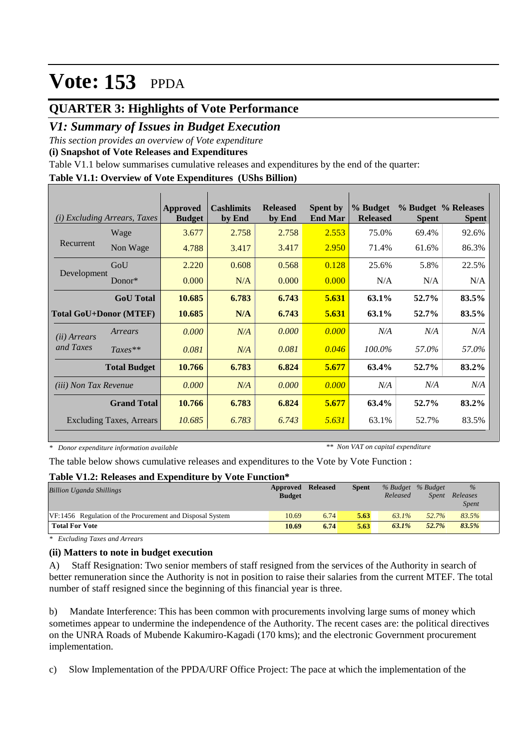## **QUARTER 3: Highlights of Vote Performance**

### *V1: Summary of Issues in Budget Execution*

*This section provides an overview of Vote expenditure* 

**(i) Snapshot of Vote Releases and Expenditures**

Table V1.1 below summarises cumulative releases and expenditures by the end of the quarter:

#### **Table V1.1: Overview of Vote Expenditures (UShs Billion)**

| (i)                           | <i>Excluding Arrears, Taxes</i> | <b>Approved</b><br><b>Budget</b> | <b>Cashlimits</b><br>by End | <b>Released</b><br>by End | <b>Spent by</b><br><b>End Mar</b> | % Budget<br><b>Released</b> | <b>Spent</b> | % Budget % Releases<br><b>Spent</b> |
|-------------------------------|---------------------------------|----------------------------------|-----------------------------|---------------------------|-----------------------------------|-----------------------------|--------------|-------------------------------------|
|                               | Wage                            | 3.677                            | 2.758                       | 2.758                     | 2.553                             | 75.0%                       | 69.4%        | 92.6%                               |
| Recurrent                     | Non Wage                        | 4.788                            | 3.417                       | 3.417                     | 2.950                             | 71.4%                       | 61.6%        | 86.3%                               |
|                               | GoU                             | 2.220                            | 0.608                       | 0.568                     | 0.128                             | 25.6%                       | 5.8%         | 22.5%                               |
| Development                   | $Donor*$                        | 0.000                            | N/A                         | 0.000                     | 0.000                             | N/A                         | N/A          | N/A                                 |
|                               | <b>GoU</b> Total                | 10.685                           | 6.783                       | 6.743                     | 5.631                             | 63.1%                       | 52.7%        | 83.5%                               |
| <b>Total GoU+Donor (MTEF)</b> |                                 | 10.685                           | N/A                         | 6.743                     | 5.631                             | 63.1%                       | 52.7%        | 83.5%                               |
| ( <i>ii</i> ) Arrears         | Arrears                         | 0.000                            | N/A                         | 0.000                     | 0.000                             | N/A                         | N/A          | N/A                                 |
| and Taxes                     | $Taxes**$                       | 0.081                            | N/A                         | 0.081                     | 0.046                             | 100.0%                      | 57.0%        | 57.0%                               |
|                               | <b>Total Budget</b>             | 10.766                           | 6.783                       | 6.824                     | 5.677                             | 63.4%                       | 52.7%        | 83.2%                               |
| <i>(iii)</i> Non Tax Revenue  |                                 | 0.000                            | N/A                         | 0.000                     | 0.000                             | N/A                         | N/A          | N/A                                 |
|                               | <b>Grand Total</b>              | 10.766                           | 6.783                       | 6.824                     | 5.677                             | 63.4%                       | 52.7%        | 83.2%                               |
|                               | <b>Excluding Taxes, Arrears</b> | 10.685                           | 6.783                       | 6.743                     | 5.631                             | 63.1%                       | 52.7%        | 83.5%                               |

*\* Donor expenditure information available*

*\*\* Non VAT on capital expenditure*

The table below shows cumulative releases and expenditures to the Vote by Vote Function :

#### **Table V1.2: Releases and Expenditure by Vote Function\***

| <b>Billion Uganda Shillings</b>                           | <b>Approved Released</b><br><b>Budget</b> |      | <b>Spent</b> | % Budget % Budget<br>Released | <i>Spent</i> | $\frac{9}{6}$<br>Releases<br><b>Spent</b> |  |
|-----------------------------------------------------------|-------------------------------------------|------|--------------|-------------------------------|--------------|-------------------------------------------|--|
| VF:1456 Regulation of the Procurement and Disposal System | 10.69                                     | 6.74 | 5.63         | $63.1\%$                      | 52.7%        | 83.5%                                     |  |
| <b>Total For Vote</b>                                     | 10.69                                     | 6.74 | 5.63         | $63.1\%$                      | 52.7%        | 83.5%                                     |  |

*\* Excluding Taxes and Arrears*

### **(ii) Matters to note in budget execution**

A) Staff Resignation: Two senior members of staff resigned from the services of the Authority in search of better remuneration since the Authority is not in position to raise their salaries from the current MTEF. The total number of staff resigned since the beginning of this financial year is three.

b) Mandate Interference: This has been common with procurements involving large sums of money which sometimes appear to undermine the independence of the Authority. The recent cases are: the political directives on the UNRA Roads of Mubende Kakumiro-Kagadi (170 kms); and the electronic Government procurement implementation.

c) Slow Implementation of the PPDA/URF Office Project: The pace at which the implementation of the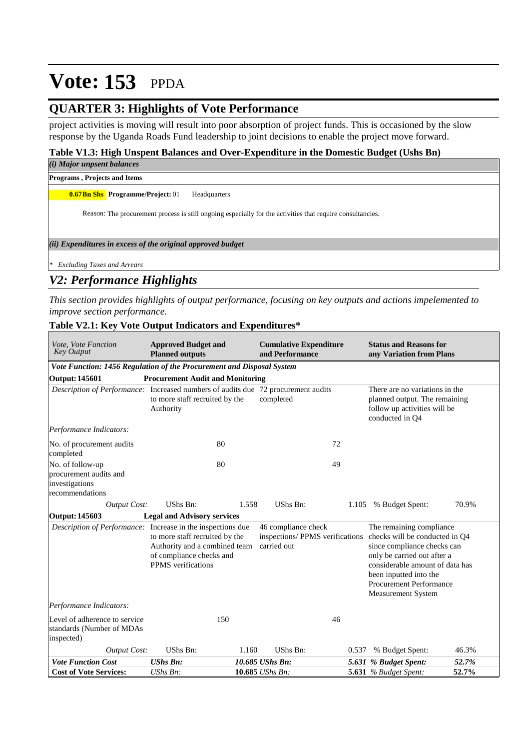## **QUARTER 3: Highlights of Vote Performance**

project activities is moving will result into poor absorption of project funds. This is occasioned by the slow response by the Uganda Roads Fund leadership to joint decisions to enable the project move forward.

#### **Table V1.3: High Unspent Balances and Over-Expenditure in the Domestic Budget (Ushs Bn)**

*(i) Major unpsent balances*

**Programs , Projects and Items**

**0.67Bn Shs Programme/Project: 01 Headquarters** 

Reason: The procurement process is still ongoing especially for the activities that require consultancies.

*(ii) Expenditures in excess of the original approved budget*

*\* Excluding Taxes and Arrears*

### *V2: Performance Highlights*

*This section provides highlights of output performance, focusing on key outputs and actions impelemented to improve section performance.*

| Vote, Vote Function<br><b>Key Output</b>                                                 | <b>Approved Budget and</b><br><b>Planned outputs</b>                                                              | <b>Cumulative Expenditure</b><br>and Performance |       | <b>Status and Reasons for</b><br>any Variation from Plans                                                                                                                                                                                                                     |       |
|------------------------------------------------------------------------------------------|-------------------------------------------------------------------------------------------------------------------|--------------------------------------------------|-------|-------------------------------------------------------------------------------------------------------------------------------------------------------------------------------------------------------------------------------------------------------------------------------|-------|
| Vote Function: 1456 Regulation of the Procurement and Disposal System                    |                                                                                                                   |                                                  |       |                                                                                                                                                                                                                                                                               |       |
| <b>Output: 145601</b>                                                                    | <b>Procurement Audit and Monitoring</b>                                                                           |                                                  |       |                                                                                                                                                                                                                                                                               |       |
| <i>Description of Performance:</i> Increased numbers of audits due 72 procurement audits | to more staff recruited by the<br>Authority                                                                       | completed                                        |       | There are no variations in the<br>planned output. The remaining<br>follow up activities will be<br>conducted in Q4                                                                                                                                                            |       |
| Performance Indicators:                                                                  |                                                                                                                   |                                                  |       |                                                                                                                                                                                                                                                                               |       |
| No. of procurement audits<br>completed                                                   | 80                                                                                                                |                                                  | 72    |                                                                                                                                                                                                                                                                               |       |
| No. of follow-up<br>procurement audits and<br>investigations<br>recommendations          | 80                                                                                                                |                                                  | 49    |                                                                                                                                                                                                                                                                               |       |
| <b>Output Cost:</b>                                                                      | UShs Bn:                                                                                                          | 1.558<br>UShs Bn:                                |       | 1.105 % Budget Spent:                                                                                                                                                                                                                                                         | 70.9% |
| Output: 145603                                                                           | <b>Legal and Advisory services</b>                                                                                |                                                  |       |                                                                                                                                                                                                                                                                               |       |
| Description of Performance: Increase in the inspections due                              | to more staff recruited by the<br>Authority and a combined team<br>of compliance checks and<br>PPMS verifications | 46 compliance check<br>carried out               |       | The remaining compliance<br>inspections/ PPMS verifications checks will be conducted in Q4<br>since compliance checks can<br>only be carried out after a<br>considerable amount of data has<br>been inputted into the<br><b>Procurement Performance</b><br>Measurement System |       |
| Performance Indicators:                                                                  |                                                                                                                   |                                                  |       |                                                                                                                                                                                                                                                                               |       |
| Level of adherence to service<br>standards (Number of MDAs<br>inspected)                 | 150                                                                                                               |                                                  | 46    |                                                                                                                                                                                                                                                                               |       |
| Output Cost:                                                                             | UShs Bn:                                                                                                          | UShs Bn:<br>1.160                                | 0.537 | % Budget Spent:                                                                                                                                                                                                                                                               | 46.3% |
| <b>Vote Function Cost</b>                                                                | <b>UShs Bn:</b>                                                                                                   | 10.685 UShs Bn:                                  |       | 5.631 % Budget Spent:                                                                                                                                                                                                                                                         | 52.7% |
| <b>Cost of Vote Services:</b>                                                            | UShs Bn:                                                                                                          | 10.685 UShs Bn:                                  |       | <b>5.631</b> % Budget Spent:                                                                                                                                                                                                                                                  | 52.7% |

### **Table V2.1: Key Vote Output Indicators and Expenditures\***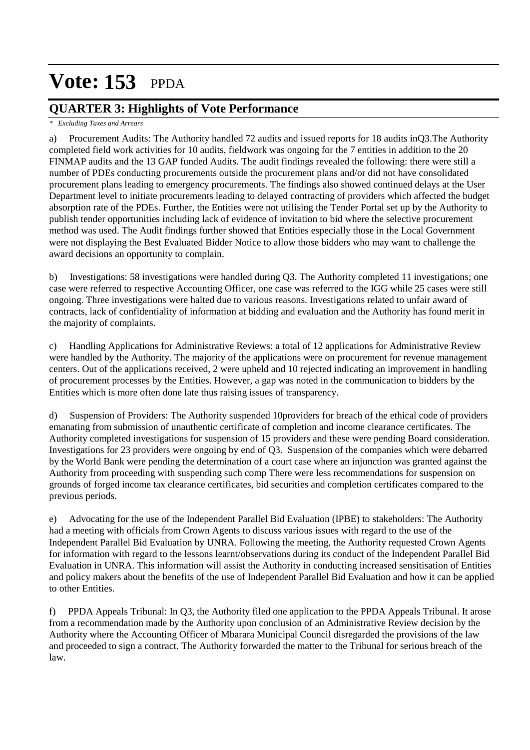## **QUARTER 3: Highlights of Vote Performance**

#### *\* Excluding Taxes and Arrears*

a) Procurement Audits: The Authority handled 72 audits and issued reports for 18 audits inQ3.The Authority completed field work activities for 10 audits, fieldwork was ongoing for the 7 entities in addition to the 20 FINMAP audits and the 13 GAP funded Audits. The audit findings revealed the following: there were still a number of PDEs conducting procurements outside the procurement plans and/or did not have consolidated procurement plans leading to emergency procurements. The findings also showed continued delays at the User Department level to initiate procurements leading to delayed contracting of providers which affected the budget absorption rate of the PDEs. Further, the Entities were not utilising the Tender Portal set up by the Authority to publish tender opportunities including lack of evidence of invitation to bid where the selective procurement method was used. The Audit findings further showed that Entities especially those in the Local Government were not displaying the Best Evaluated Bidder Notice to allow those bidders who may want to challenge the award decisions an opportunity to complain.

b) Investigations: 58 investigations were handled during Q3. The Authority completed 11 investigations; one case were referred to respective Accounting Officer, one case was referred to the IGG while 25 cases were still ongoing. Three investigations were halted due to various reasons. Investigations related to unfair award of contracts, lack of confidentiality of information at bidding and evaluation and the Authority has found merit in the majority of complaints.

c) Handling Applications for Administrative Reviews: a total of 12 applications for Administrative Review were handled by the Authority. The majority of the applications were on procurement for revenue management centers. Out of the applications received, 2 were upheld and 10 rejected indicating an improvement in handling of procurement processes by the Entities. However, a gap was noted in the communication to bidders by the Entities which is more often done late thus raising issues of transparency.

d) Suspension of Providers: The Authority suspended 10providers for breach of the ethical code of providers emanating from submission of unauthentic certificate of completion and income clearance certificates. The Authority completed investigations for suspension of 15 providers and these were pending Board consideration. Investigations for 23 providers were ongoing by end of Q3. Suspension of the companies which were debarred by the World Bank were pending the determination of a court case where an injunction was granted against the Authority from proceeding with suspending such comp There were less recommendations for suspension on grounds of forged income tax clearance certificates, bid securities and completion certificates compared to the previous periods.

e) Advocating for the use of the Independent Parallel Bid Evaluation (IPBE) to stakeholders: The Authority had a meeting with officials from Crown Agents to discuss various issues with regard to the use of the Independent Parallel Bid Evaluation by UNRA. Following the meeting, the Authority requested Crown Agents for information with regard to the lessons learnt/observations during its conduct of the Independent Parallel Bid Evaluation in UNRA. This information will assist the Authority in conducting increased sensitisation of Entities and policy makers about the benefits of the use of Independent Parallel Bid Evaluation and how it can be applied to other Entities.

f) PPDA Appeals Tribunal: In Q3, the Authority filed one application to the PPDA Appeals Tribunal. It arose from a recommendation made by the Authority upon conclusion of an Administrative Review decision by the Authority where the Accounting Officer of Mbarara Municipal Council disregarded the provisions of the law and proceeded to sign a contract. The Authority forwarded the matter to the Tribunal for serious breach of the law.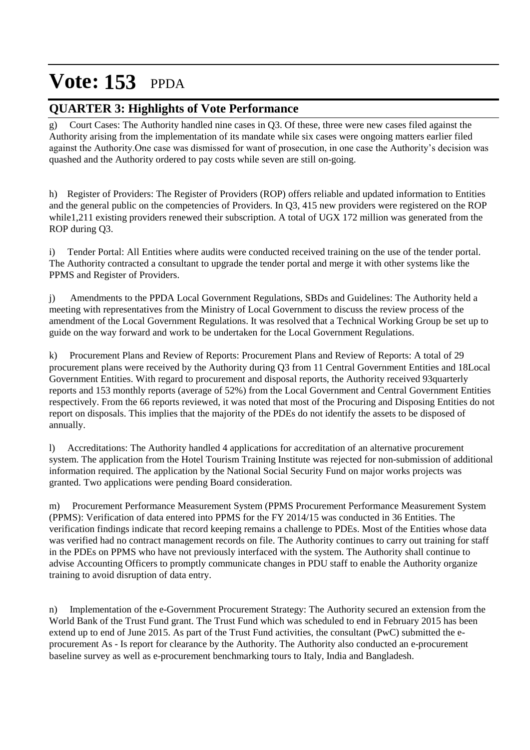## **QUARTER 3: Highlights of Vote Performance**

g) Court Cases: The Authority handled nine cases in Q3. Of these, three were new cases filed against the Authority arising from the implementation of its mandate while six cases were ongoing matters earlier filed against the Authority.One case was dismissed for want of prosecution, in one case the Authority's decision was quashed and the Authority ordered to pay costs while seven are still on-going.

h) Register of Providers: The Register of Providers (ROP) offers reliable and updated information to Entities and the general public on the competencies of Providers. In Q3, 415 new providers were registered on the ROP while1,211 existing providers renewed their subscription. A total of UGX 172 million was generated from the ROP during Q3.

i) Tender Portal: All Entities where audits were conducted received training on the use of the tender portal. The Authority contracted a consultant to upgrade the tender portal and merge it with other systems like the PPMS and Register of Providers.

j) Amendments to the PPDA Local Government Regulations, SBDs and Guidelines: The Authority held a meeting with representatives from the Ministry of Local Government to discuss the review process of the amendment of the Local Government Regulations. It was resolved that a Technical Working Group be set up to guide on the way forward and work to be undertaken for the Local Government Regulations.

k) Procurement Plans and Review of Reports: Procurement Plans and Review of Reports: A total of 29 procurement plans were received by the Authority during Q3 from 11 Central Government Entities and 18Local Government Entities. With regard to procurement and disposal reports, the Authority received 93quarterly reports and 153 monthly reports (average of 52%) from the Local Government and Central Government Entities respectively. From the 66 reports reviewed, it was noted that most of the Procuring and Disposing Entities do not report on disposals. This implies that the majority of the PDEs do not identify the assets to be disposed of annually.

l) Accreditations: The Authority handled 4 applications for accreditation of an alternative procurement system. The application from the Hotel Tourism Training Institute was rejected for non-submission of additional information required. The application by the National Social Security Fund on major works projects was granted. Two applications were pending Board consideration.

m) Procurement Performance Measurement System (PPMS Procurement Performance Measurement System (PPMS): Verification of data entered into PPMS for the FY 2014/15 was conducted in 36 Entities. The verification findings indicate that record keeping remains a challenge to PDEs. Most of the Entities whose data was verified had no contract management records on file. The Authority continues to carry out training for staff in the PDEs on PPMS who have not previously interfaced with the system. The Authority shall continue to advise Accounting Officers to promptly communicate changes in PDU staff to enable the Authority organize training to avoid disruption of data entry.

n) Implementation of the e-Government Procurement Strategy: The Authority secured an extension from the World Bank of the Trust Fund grant. The Trust Fund which was scheduled to end in February 2015 has been extend up to end of June 2015. As part of the Trust Fund activities, the consultant (PwC) submitted the eprocurement As - Is report for clearance by the Authority. The Authority also conducted an e-procurement baseline survey as well as e-procurement benchmarking tours to Italy, India and Bangladesh.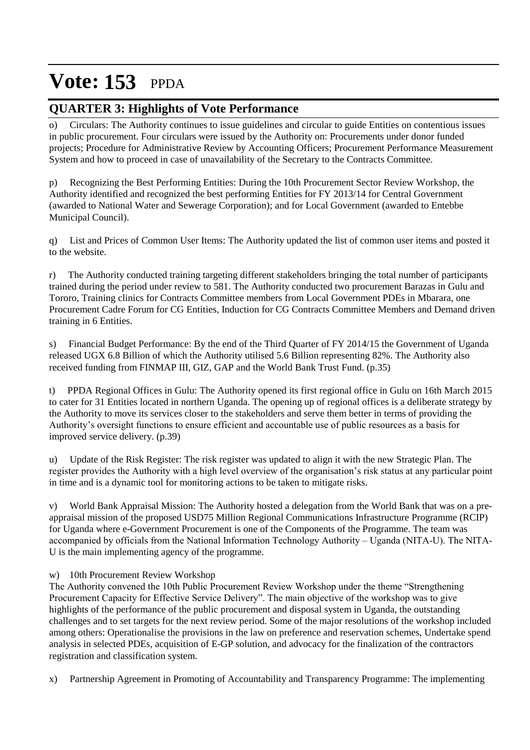## **QUARTER 3: Highlights of Vote Performance**

o) Circulars: The Authority continues to issue guidelines and circular to guide Entities on contentious issues in public procurement. Four circulars were issued by the Authority on: Procurements under donor funded projects; Procedure for Administrative Review by Accounting Officers; Procurement Performance Measurement System and how to proceed in case of unavailability of the Secretary to the Contracts Committee.

p) Recognizing the Best Performing Entities: During the 10th Procurement Sector Review Workshop, the Authority identified and recognized the best performing Entities for FY 2013/14 for Central Government (awarded to National Water and Sewerage Corporation); and for Local Government (awarded to Entebbe Municipal Council).

q) List and Prices of Common User Items: The Authority updated the list of common user items and posted it to the website.

r) The Authority conducted training targeting different stakeholders bringing the total number of participants trained during the period under review to 581. The Authority conducted two procurement Barazas in Gulu and Tororo, Training clinics for Contracts Committee members from Local Government PDEs in Mbarara, one Procurement Cadre Forum for CG Entities, Induction for CG Contracts Committee Members and Demand driven training in 6 Entities.

s) Financial Budget Performance: By the end of the Third Quarter of FY 2014/15 the Government of Uganda released UGX 6.8 Billion of which the Authority utilised 5.6 Billion representing 82%. The Authority also received funding from FINMAP III, GIZ, GAP and the World Bank Trust Fund. (p.35)

t) PPDA Regional Offices in Gulu: The Authority opened its first regional office in Gulu on 16th March 2015 to cater for 31 Entities located in northern Uganda. The opening up of regional offices is a deliberate strategy by the Authority to move its services closer to the stakeholders and serve them better in terms of providing the Authority's oversight functions to ensure efficient and accountable use of public resources as a basis for improved service delivery. (p.39)

u) Update of the Risk Register: The risk register was updated to align it with the new Strategic Plan. The register provides the Authority with a high level overview of the organisation's risk status at any particular point in time and is a dynamic tool for monitoring actions to be taken to mitigate risks.

v) World Bank Appraisal Mission: The Authority hosted a delegation from the World Bank that was on a preappraisal mission of the proposed USD75 Million Regional Communications Infrastructure Programme (RCIP) for Uganda where e-Government Procurement is one of the Components of the Programme. The team was accompanied by officials from the National Information Technology Authority – Uganda (NITA-U). The NITA-U is the main implementing agency of the programme.

### w) 10th Procurement Review Workshop

The Authority convened the 10th Public Procurement Review Workshop under the theme "Strengthening Procurement Capacity for Effective Service Delivery". The main objective of the workshop was to give highlights of the performance of the public procurement and disposal system in Uganda, the outstanding challenges and to set targets for the next review period. Some of the major resolutions of the workshop included among others: Operationalise the provisions in the law on preference and reservation schemes, Undertake spend analysis in selected PDEs, acquisition of E-GP solution, and advocacy for the finalization of the contractors registration and classification system.

x) Partnership Agreement in Promoting of Accountability and Transparency Programme: The implementing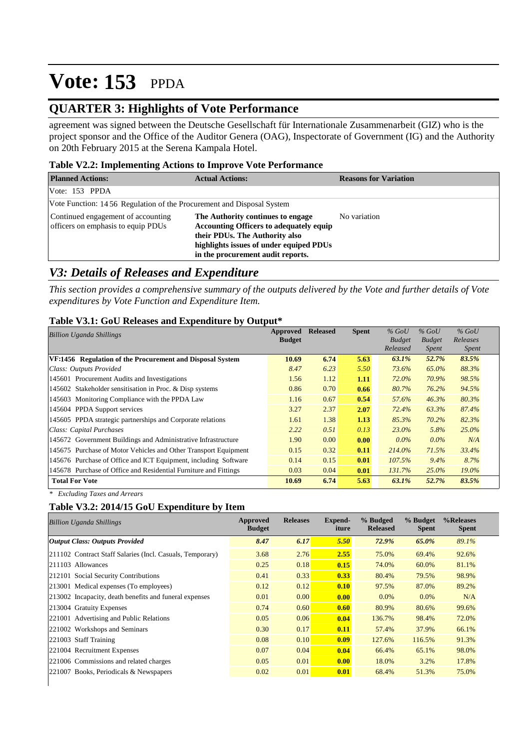### **QUARTER 3: Highlights of Vote Performance**

agreement was signed between the Deutsche Gesellschaft für Internationale Zusammenarbeit (GIZ) who is the project sponsor and the Office of the Auditor Genera (OAG), Inspectorate of Government (IG) and the Authority on 20th February 2015 at the Serena Kampala Hotel.

#### **Table V2.2: Implementing Actions to Improve Vote Performance**

| <b>Planned Actions:</b>                                                  | <b>Actual Actions:</b>                                                                                                                                                                                | <b>Reasons for Variation</b> |
|--------------------------------------------------------------------------|-------------------------------------------------------------------------------------------------------------------------------------------------------------------------------------------------------|------------------------------|
| Vote: $153$ PPDA                                                         |                                                                                                                                                                                                       |                              |
| Vote Function: 14.56 Regulation of the Procurement and Disposal System   |                                                                                                                                                                                                       |                              |
| Continued engagement of accounting<br>officers on emphasis to equip PDUs | The Authority continues to engage<br><b>Accounting Officers to adequately equip</b><br>their PDUs. The Authority also<br>highlights issues of under equiped PDUs<br>in the procurement audit reports. | No variation                 |

### *V3: Details of Releases and Expenditure*

*This section provides a comprehensive summary of the outputs delivered by the Vote and further details of Vote expenditures by Vote Function and Expenditure Item.*

#### **Table V3.1: GoU Releases and Expenditure by Output\***

| <b>Billion Uganda Shillings</b>                                  | Approved      | <b>Released</b> | <b>Spent</b> | $%$ GoU       | $%$ GoU       | $%$ GoU      |
|------------------------------------------------------------------|---------------|-----------------|--------------|---------------|---------------|--------------|
|                                                                  | <b>Budget</b> |                 |              | <b>Budget</b> | <b>Budget</b> | Releases     |
|                                                                  |               |                 |              | Released      | <i>Spent</i>  | <i>Spent</i> |
| VF:1456 Regulation of the Procurement and Disposal System        | 10.69         | 6.74            | 5.63         | 63.1%         | 52.7%         | 83.5%        |
| Class: Outputs Provided                                          | 8.47          | 6.23            | 5.50         | 73.6%         | 65.0%         | 88.3%        |
| 145601 Procurement Audits and Investigations                     | 1.56          | 1.12            | 1.11         | 72.0%         | 70.9%         | 98.5%        |
| 145602 Stakeholder sensitisation in Proc. & Disp systems         | 0.86          | 0.70            | 0.66         | 80.7%         | 76.2%         | 94.5%        |
| 145603 Monitoring Compliance with the PPDA Law                   | 1.16          | 0.67            | 0.54         | 57.6%         | 46.3%         | 80.3%        |
| 145604 PPDA Support services                                     | 3.27          | 2.37            | 2.07         | 72.4%         | 63.3%         | 87.4%        |
| 145605 PPDA strategic partnerships and Corporate relations       | 1.61          | 1.38            | 1.13         | 85.3%         | 70.2%         | 82.3%        |
| Class: Capital Purchases                                         | 2.22          | 0.51            | 0.13         | $23.0\%$      | 5.8%          | $25.0\%$     |
| 145672 Government Buildings and Administrative Infrastructure    | 1.90          | 0.00            | 0.00         | $0.0\%$       | $0.0\%$       | N/A          |
| 145675 Purchase of Motor Vehicles and Other Transport Equipment  | 0.15          | 0.32            | 0.11         | 214.0%        | 71.5%         | 33.4%        |
| 145676 Purchase of Office and ICT Equipment, including Software  | 0.14          | 0.15            | 0.01         | $107.5\%$     | $9.4\%$       | 8.7%         |
| 145678 Purchase of Office and Residential Furniture and Fittings | 0.03          | 0.04            | 0.01         | 131.7%        | $25.0\%$      | $19.0\%$     |
| <b>Total For Vote</b>                                            | 10.69         | 6.74            | 5.63         | 63.1%         | 52.7%         | 83.5%        |

*\* Excluding Taxes and Arrears*

### **Table V3.2: 2014/15 GoU Expenditure by Item**

|                                                           | <b>Budget</b> | <b>Releases</b> | Expend-<br>iture | % Budged<br><b>Released</b> | % Budget<br><b>Spent</b> | %Releases<br><b>Spent</b> |
|-----------------------------------------------------------|---------------|-----------------|------------------|-----------------------------|--------------------------|---------------------------|
| <b>Output Class: Outputs Provided</b>                     | 8.47          | 6.17            | 5.50             | 72.9%                       | 65.0%                    | 89.1%                     |
| 211102 Contract Staff Salaries (Incl. Casuals, Temporary) | 3.68          | 2.76            | 2.55             | 75.0%                       | 69.4%                    | 92.6%                     |
| 211103 Allowances                                         | 0.25          | 0.18            | 0.15             | 74.0%                       | 60.0%                    | 81.1%                     |
| 212101 Social Security Contributions                      | 0.41          | 0.33            | 0.33             | 80.4%                       | 79.5%                    | 98.9%                     |
| 213001 Medical expenses (To employees)                    | 0.12          | 0.12            | 0.10             | 97.5%                       | 87.0%                    | 89.2%                     |
| 213002 Incapacity, death benefits and funeral expenses    | 0.01          | 0.00            | 0.00             | $0.0\%$                     | $0.0\%$                  | N/A                       |
| 213004 Gratuity Expenses                                  | 0.74          | 0.60            | 0.60             | 80.9%                       | 80.6%                    | 99.6%                     |
| 221001 Advertising and Public Relations                   | 0.05          | 0.06            | 0.04             | 136.7%                      | 98.4%                    | 72.0%                     |
| 221002 Workshops and Seminars                             | 0.30          | 0.17            | 0.11             | 57.4%                       | 37.9%                    | 66.1%                     |
| 221003 Staff Training                                     | 0.08          | 0.10            | 0.09             | 127.6%                      | 116.5%                   | 91.3%                     |
| 221004 Recruitment Expenses                               | 0.07          | 0.04            | 0.04             | 66.4%                       | 65.1%                    | 98.0%                     |
| 221006 Commissions and related charges                    | 0.05          | 0.01            | 0.00             | 18.0%                       | 3.2%                     | 17.8%                     |
| 221007 Books, Periodicals & Newspapers                    | 0.02          | 0.01            | 0.01             | 68.4%                       | 51.3%                    | 75.0%                     |